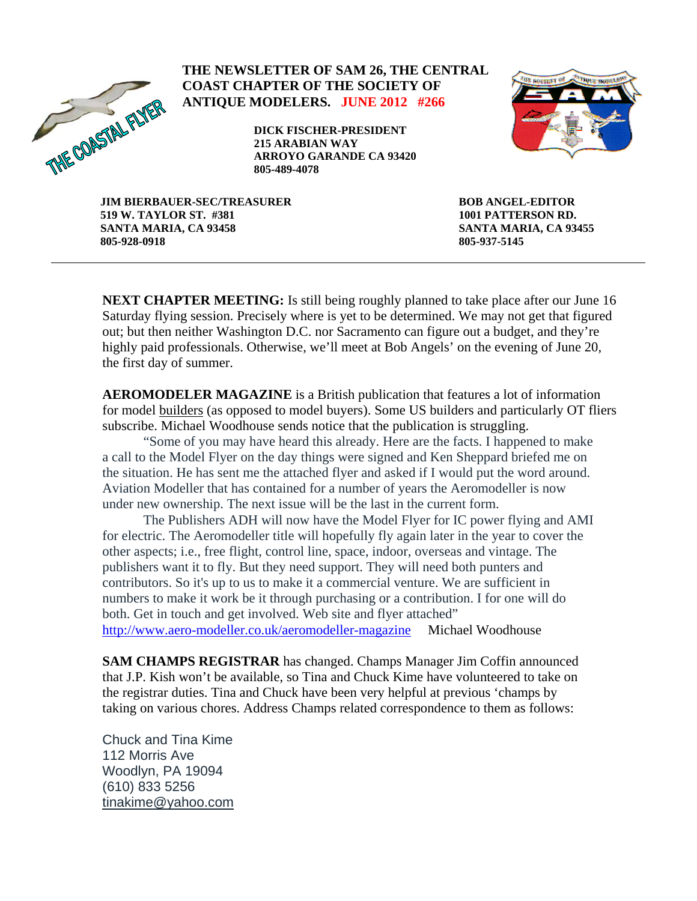

**THE NEWSLETTER OF SAM 26, THE CENTRAL COAST CHAPTER OF THE SOCIETY OF ANTIQUE MODELERS. JUNE 2012 #266** 

> **DICK FISCHER-PRESIDENT 215 ARABIAN WAY ARROYO GARANDE CA 93420 805-489-4078**



**JIM BIERBAUER-SEC/TREASURER 519 W. TAYLOR ST. #381 SANTA MARIA, CA 93458 805-928-0918** 

**BOB ANGEL-EDITOR 1001 PATTERSON RD. SANTA MARIA, CA 93455 805-937-5145** 

**NEXT CHAPTER MEETING:** Is still being roughly planned to take place after our June 16 Saturday flying session. Precisely where is yet to be determined. We may not get that figured out; but then neither Washington D.C. nor Sacramento can figure out a budget, and they're highly paid professionals. Otherwise, we'll meet at Bob Angels' on the evening of June 20, the first day of summer.

**AEROMODELER MAGAZINE** is a British publication that features a lot of information for model builders (as opposed to model buyers). Some US builders and particularly OT fliers subscribe. Michael Woodhouse sends notice that the publication is struggling.

"Some of you may have heard this already. Here are the facts. I happened to make a call to the Model Flyer on the day things were signed and Ken Sheppard briefed me on the situation. He has sent me the attached flyer and asked if I would put the word around. Aviation Modeller that has contained for a number of years the Aeromodeller is now under new ownership. The next issue will be the last in the current form.

The Publishers ADH will now have the Model Flyer for IC power flying and AMI for electric. The Aeromodeller title will hopefully fly again later in the year to cover the other aspects; i.e., free flight, control line, space, indoor, overseas and vintage. The publishers want it to fly. But they need support. They will need both punters and contributors. So it's up to us to make it a commercial venture. We are sufficient in numbers to make it work be it through purchasing or a contribution. I for one will do both. Get in touch and get involved. Web site and flyer attached" <http://www.aero-modeller.co.uk/aeromodeller-magazine> Michael Woodhouse

**SAM CHAMPS REGISTRAR** has changed. Champs Manager Jim Coffin announced that J.P. Kish won't be available, so Tina and Chuck Kime have volunteered to take on the registrar duties. Tina and Chuck have been very helpful at previous 'champs by taking on various chores. Address Champs related correspondence to them as follows:

Chuck and Tina Kime 112 Morris Ave Woodlyn, PA 19094 (610) 833 5256 [tinakime@yahoo.com](mailto:tinakime@yahoo.com)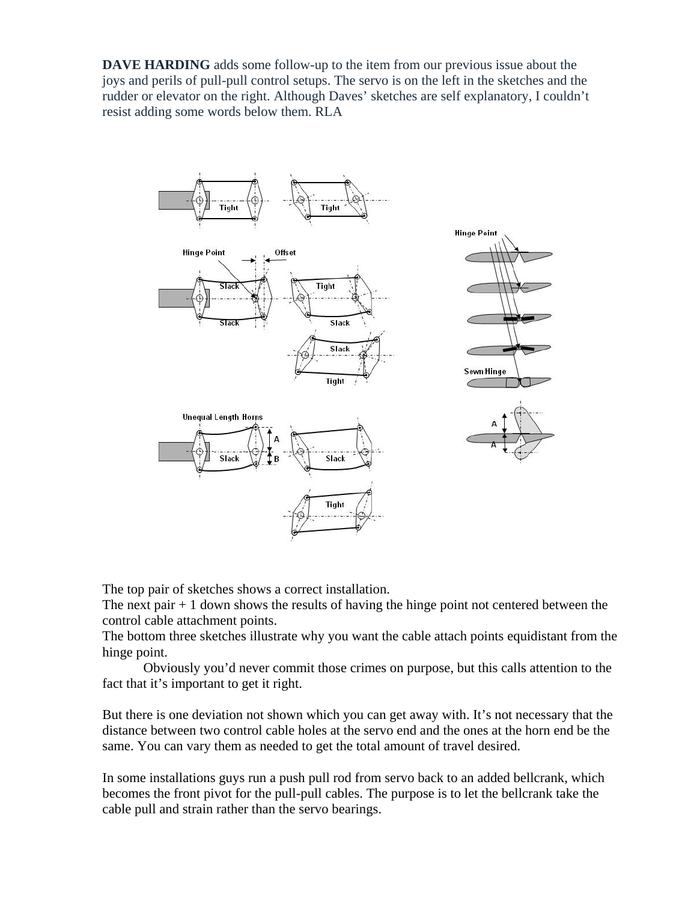**DAVE HARDING** adds some follow-up to the item from our previous issue about the joys and perils of pull-pull control setups. The servo is on the left in the sketches and the rudder or elevator on the right. Although Daves' sketches are self explanatory, I couldn't resist adding some words below them. RLA



The top pair of sketches shows a correct installation.

The next pair  $+1$  down shows the results of having the hinge point not centered between the control cable attachment points.

The bottom three sketches illustrate why you want the cable attach points equidistant from the hinge point.

Obviously you'd never commit those crimes on purpose, but this calls attention to the fact that it's important to get it right.

But there is one deviation not shown which you can get away with. It's not necessary that the distance between two control cable holes at the servo end and the ones at the horn end be the same. You can vary them as needed to get the total amount of travel desired.

In some installations guys run a push pull rod from servo back to an added bellcrank, which becomes the front pivot for the pull-pull cables. The purpose is to let the bellcrank take the cable pull and strain rather than the servo bearings.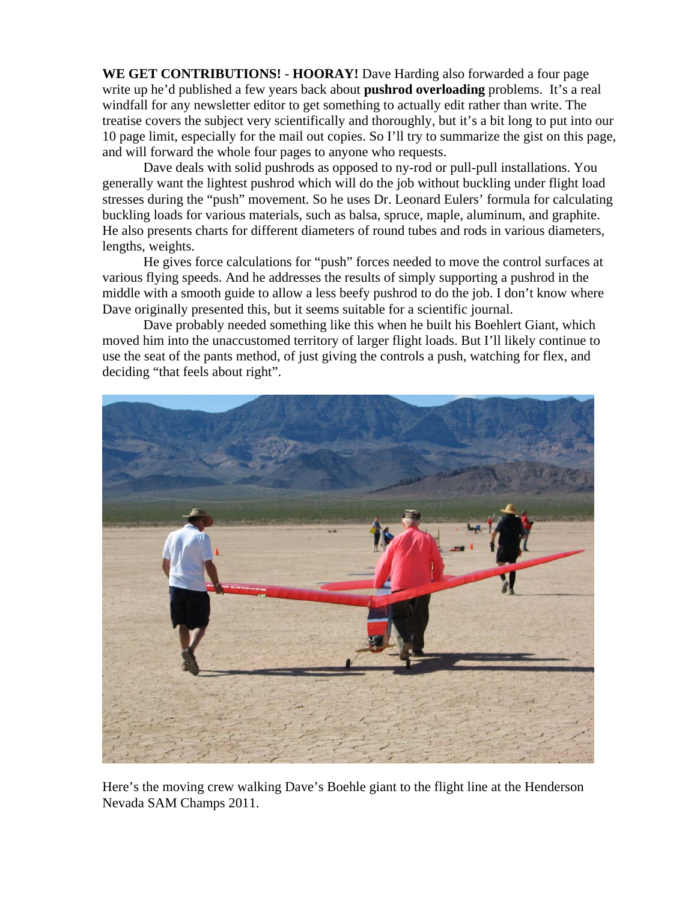**WE GET CONTRIBUTIONS!** - **HOORAY!** Dave Harding also forwarded a four page write up he'd published a few years back about **pushrod overloading** problems. It's a real windfall for any newsletter editor to get something to actually edit rather than write. The treatise covers the subject very scientifically and thoroughly, but it's a bit long to put into our 10 page limit, especially for the mail out copies. So I'll try to summarize the gist on this page, and will forward the whole four pages to anyone who requests.

 Dave deals with solid pushrods as opposed to ny-rod or pull-pull installations. You generally want the lightest pushrod which will do the job without buckling under flight load stresses during the "push" movement. So he uses Dr. Leonard Eulers' formula for calculating buckling loads for various materials, such as balsa, spruce, maple, aluminum, and graphite. He also presents charts for different diameters of round tubes and rods in various diameters, lengths, weights.

 He gives force calculations for "push" forces needed to move the control surfaces at various flying speeds. And he addresses the results of simply supporting a pushrod in the middle with a smooth guide to allow a less beefy pushrod to do the job. I don't know where Dave originally presented this, but it seems suitable for a scientific journal.

 Dave probably needed something like this when he built his Boehlert Giant, which moved him into the unaccustomed territory of larger flight loads. But I'll likely continue to use the seat of the pants method, of just giving the controls a push, watching for flex, and deciding "that feels about right".



Here's the moving crew walking Dave's Boehle giant to the flight line at the Henderson Nevada SAM Champs 2011.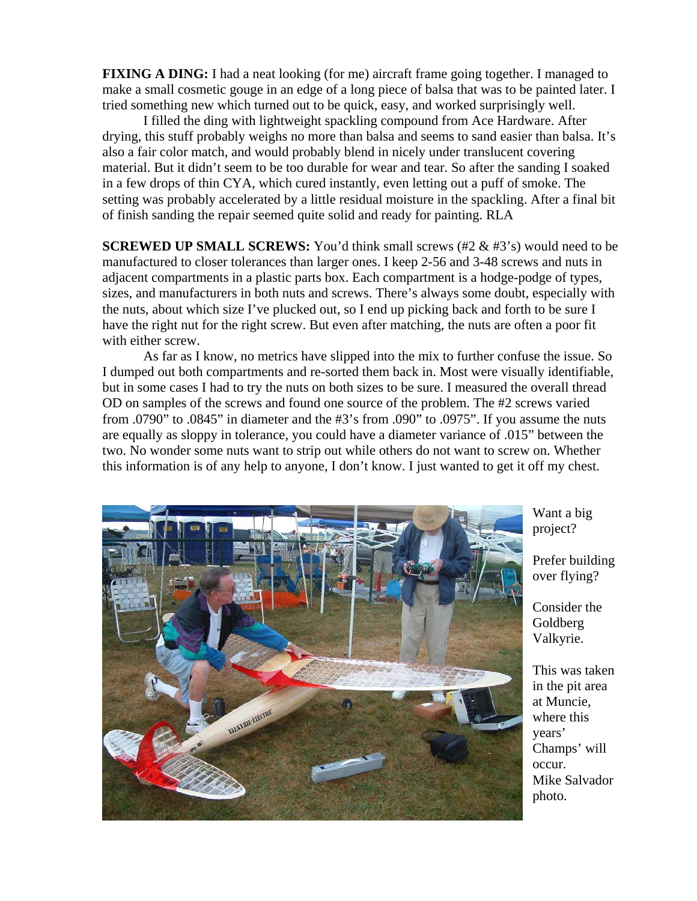**FIXING A DING:** I had a neat looking (for me) aircraft frame going together. I managed to make a small cosmetic gouge in an edge of a long piece of balsa that was to be painted later. I tried something new which turned out to be quick, easy, and worked surprisingly well.

 I filled the ding with lightweight spackling compound from Ace Hardware. After drying, this stuff probably weighs no more than balsa and seems to sand easier than balsa. It's also a fair color match, and would probably blend in nicely under translucent covering material. But it didn't seem to be too durable for wear and tear. So after the sanding I soaked in a few drops of thin CYA, which cured instantly, even letting out a puff of smoke. The setting was probably accelerated by a little residual moisture in the spackling. After a final bit of finish sanding the repair seemed quite solid and ready for painting. RLA

**SCREWED UP SMALL SCREWS:** You'd think small screws (#2 & #3's) would need to be manufactured to closer tolerances than larger ones. I keep 2-56 and 3-48 screws and nuts in adjacent compartments in a plastic parts box. Each compartment is a hodge-podge of types, sizes, and manufacturers in both nuts and screws. There's always some doubt, especially with the nuts, about which size I've plucked out, so I end up picking back and forth to be sure I have the right nut for the right screw. But even after matching, the nuts are often a poor fit with either screw.

 As far as I know, no metrics have slipped into the mix to further confuse the issue. So I dumped out both compartments and re-sorted them back in. Most were visually identifiable, but in some cases I had to try the nuts on both sizes to be sure. I measured the overall thread OD on samples of the screws and found one source of the problem. The #2 screws varied from .0790" to .0845" in diameter and the #3's from .090" to .0975". If you assume the nuts are equally as sloppy in tolerance, you could have a diameter variance of .015" between the two. No wonder some nuts want to strip out while others do not want to screw on. Whether this information is of any help to anyone, I don't know. I just wanted to get it off my chest.



Want a big project?

Prefer building over flying?

Consider the Goldberg Valkyrie.

This was taken in the pit area at Muncie, where this years' Champs' will occur. Mike Salvador photo.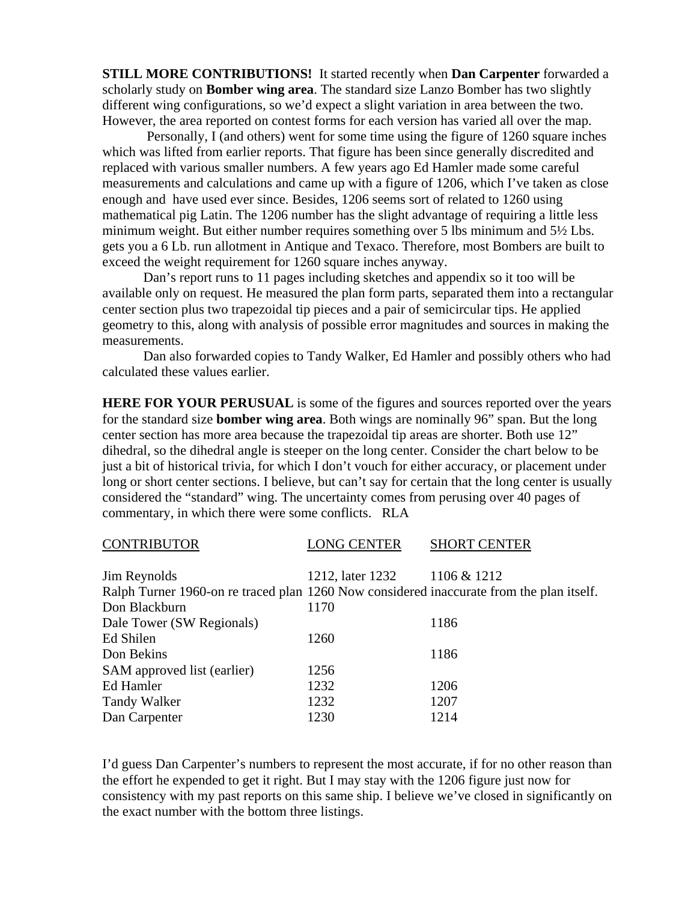**STILL MORE CONTRIBUTIONS!** It started recently when **Dan Carpenter** forwarded a scholarly study on **Bomber wing area**. The standard size Lanzo Bomber has two slightly different wing configurations, so we'd expect a slight variation in area between the two. However, the area reported on contest forms for each version has varied all over the map.

 Personally, I (and others) went for some time using the figure of 1260 square inches which was lifted from earlier reports. That figure has been since generally discredited and replaced with various smaller numbers. A few years ago Ed Hamler made some careful measurements and calculations and came up with a figure of 1206, which I've taken as close enough and have used ever since. Besides, 1206 seems sort of related to 1260 using mathematical pig Latin. The 1206 number has the slight advantage of requiring a little less minimum weight. But either number requires something over 5 lbs minimum and 5½ Lbs. gets you a 6 Lb. run allotment in Antique and Texaco. Therefore, most Bombers are built to exceed the weight requirement for 1260 square inches anyway.

 Dan's report runs to 11 pages including sketches and appendix so it too will be available only on request. He measured the plan form parts, separated them into a rectangular center section plus two trapezoidal tip pieces and a pair of semicircular tips. He applied geometry to this, along with analysis of possible error magnitudes and sources in making the measurements.

 Dan also forwarded copies to Tandy Walker, Ed Hamler and possibly others who had calculated these values earlier.

**HERE FOR YOUR PERUSUAL** is some of the figures and sources reported over the years for the standard size **bomber wing area**. Both wings are nominally 96" span. But the long center section has more area because the trapezoidal tip areas are shorter. Both use 12" dihedral, so the dihedral angle is steeper on the long center. Consider the chart below to be just a bit of historical trivia, for which I don't vouch for either accuracy, or placement under long or short center sections. I believe, but can't say for certain that the long center is usually considered the "standard" wing. The uncertainty comes from perusing over 40 pages of commentary, in which there were some conflicts. RLA

| <b>CONTINIDUTOR</b>                                                                      | LUNU ULIVILIN                | <b>DIIONI CENIEN</b> |
|------------------------------------------------------------------------------------------|------------------------------|----------------------|
|                                                                                          |                              |                      |
| Jim Reynolds                                                                             | 1212, later 1232 1106 & 1212 |                      |
| Ralph Turner 1960-on re traced plan 1260 Now considered inaccurate from the plan itself. |                              |                      |
| Don Blackburn                                                                            | 1170                         |                      |
| Dale Tower (SW Regionals)                                                                |                              | 1186                 |
| Ed Shilen                                                                                | 1260                         |                      |
| Don Bekins                                                                               |                              | 1186                 |
| <b>SAM</b> approved list (earlier)                                                       | 1256                         |                      |
| Ed Hamler                                                                                | 1232                         | 1206                 |
| Tandy Walker                                                                             | 1232                         | 1207                 |
| Dan Carpenter                                                                            | 1230                         | 1214                 |

CONTRIBUTOR LONG CENTER SHORT CENTER

I'd guess Dan Carpenter's numbers to represent the most accurate, if for no other reason than the effort he expended to get it right. But I may stay with the 1206 figure just now for consistency with my past reports on this same ship. I believe we've closed in significantly on the exact number with the bottom three listings.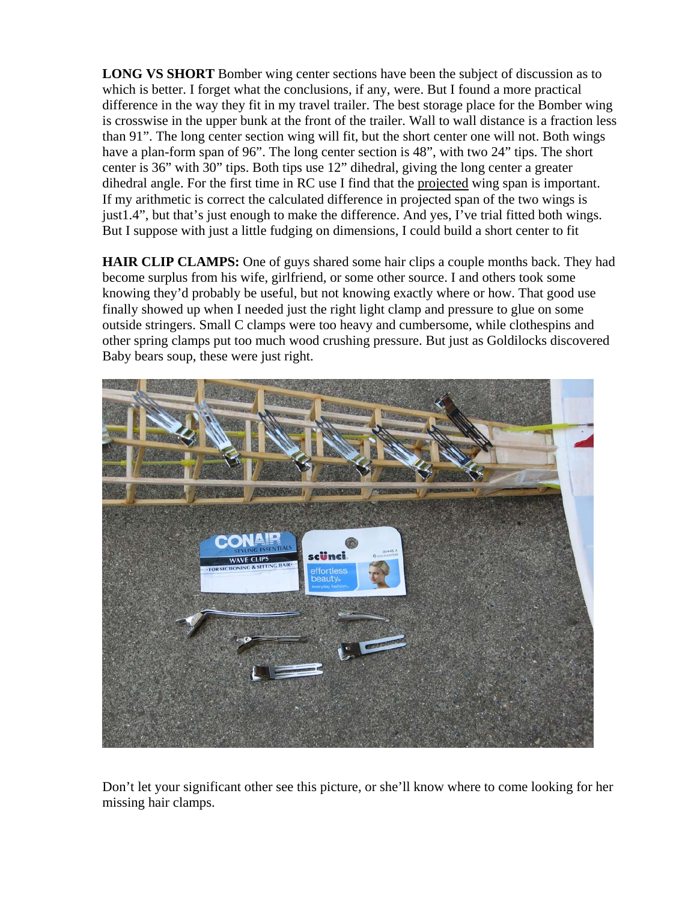**LONG VS SHORT** Bomber wing center sections have been the subject of discussion as to which is better. I forget what the conclusions, if any, were. But I found a more practical difference in the way they fit in my travel trailer. The best storage place for the Bomber wing is crosswise in the upper bunk at the front of the trailer. Wall to wall distance is a fraction less than 91". The long center section wing will fit, but the short center one will not. Both wings have a plan-form span of 96". The long center section is 48", with two 24" tips. The short center is 36" with 30" tips. Both tips use 12" dihedral, giving the long center a greater dihedral angle. For the first time in RC use I find that the projected wing span is important. If my arithmetic is correct the calculated difference in projected span of the two wings is just1.4", but that's just enough to make the difference. And yes, I've trial fitted both wings. But I suppose with just a little fudging on dimensions, I could build a short center to fit

**HAIR CLIP CLAMPS:** One of guys shared some hair clips a couple months back. They had become surplus from his wife, girlfriend, or some other source. I and others took some knowing they'd probably be useful, but not knowing exactly where or how. That good use finally showed up when I needed just the right light clamp and pressure to glue on some outside stringers. Small C clamps were too heavy and cumbersome, while clothespins and other spring clamps put too much wood crushing pressure. But just as Goldilocks discovered Baby bears soup, these were just right.



Don't let your significant other see this picture, or she'll know where to come looking for her missing hair clamps.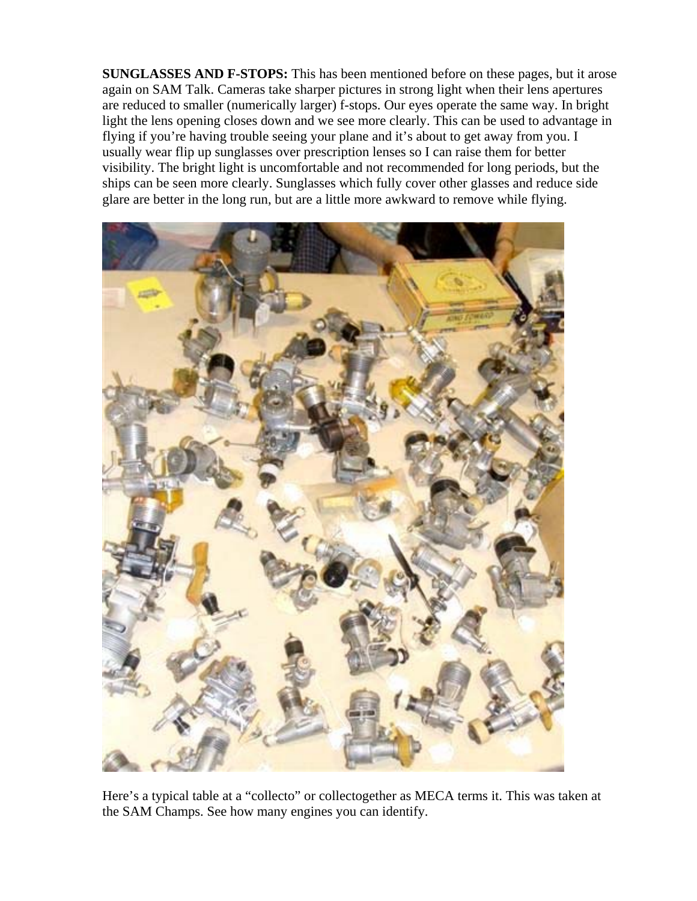**SUNGLASSES AND F-STOPS:** This has been mentioned before on these pages, but it arose again on SAM Talk. Cameras take sharper pictures in strong light when their lens apertures are reduced to smaller (numerically larger) f-stops. Our eyes operate the same way. In bright light the lens opening closes down and we see more clearly. This can be used to advantage in flying if you're having trouble seeing your plane and it's about to get away from you. I usually wear flip up sunglasses over prescription lenses so I can raise them for better visibility. The bright light is uncomfortable and not recommended for long periods, but the ships can be seen more clearly. Sunglasses which fully cover other glasses and reduce side glare are better in the long run, but are a little more awkward to remove while flying.



Here's a typical table at a "collecto" or collectogether as MECA terms it. This was taken at the SAM Champs. See how many engines you can identify.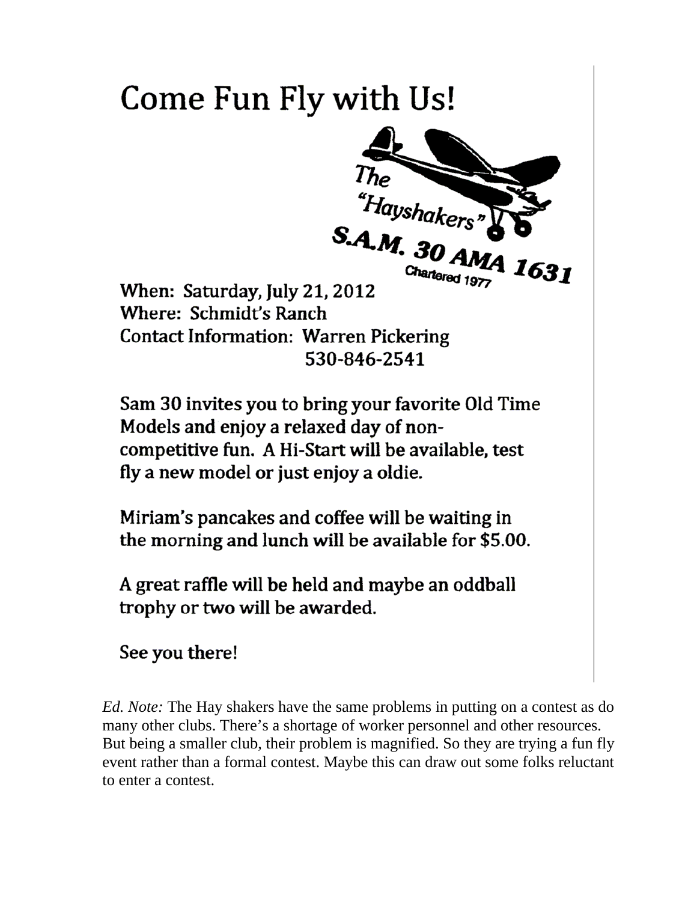## Come Fun Fly with Us!



When: Saturday, July 21, 2012 Where: Schmidt's Ranch **Contact Information: Warren Pickering** 530-846-2541

Sam 30 invites you to bring your favorite Old Time Models and enjoy a relaxed day of noncompetitive fun. A Hi-Start will be available, test fly a new model or just enjoy a oldie.

Miriam's pancakes and coffee will be waiting in the morning and lunch will be available for \$5.00.

A great raffle will be held and maybe an oddball trophy or two will be awarded.

## See you there!

*Ed. Note:* The Hay shakers have the same problems in putting on a contest as do many other clubs. There's a shortage of worker personnel and other resources. But being a smaller club, their problem is magnified. So they are trying a fun fly event rather than a formal contest. Maybe this can draw out some folks reluctant to enter a contest.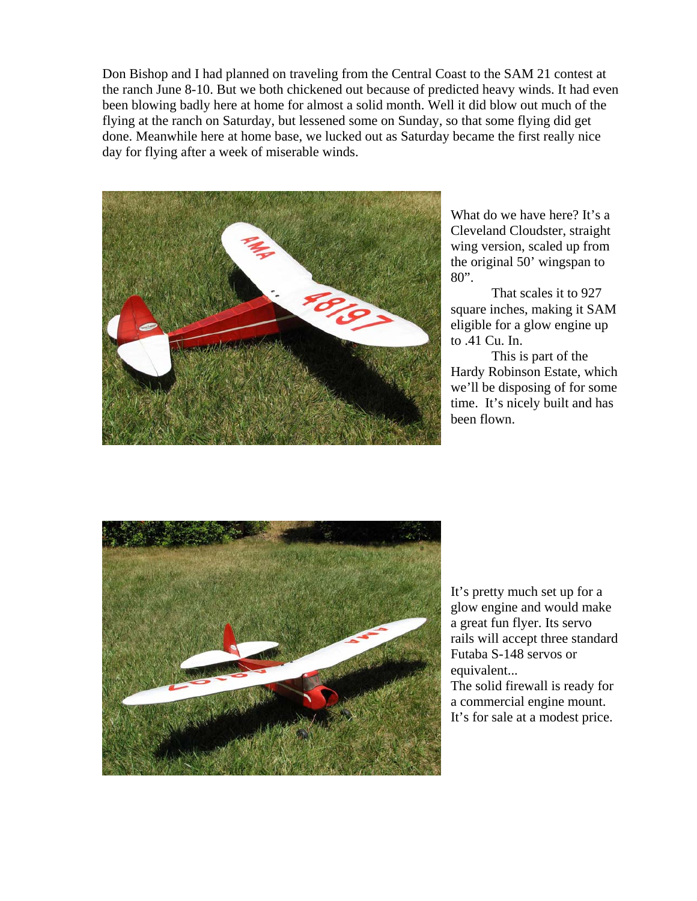Don Bishop and I had planned on traveling from the Central Coast to the SAM 21 contest at the ranch June 8-10. But we both chickened out because of predicted heavy winds. It had even been blowing badly here at home for almost a solid month. Well it did blow out much of the flying at the ranch on Saturday, but lessened some on Sunday, so that some flying did get done. Meanwhile here at home base, we lucked out as Saturday became the first really nice day for flying after a week of miserable winds.



What do we have here? It's a Cleveland Cloudster, straight wing version, scaled up from the original 50' wingspan to 80".

That scales it to 927 square inches, making it SAM eligible for a glow engine up to .41 Cu. In.

This is part of the Hardy Robinson Estate, which we'll be disposing of for some time. It's nicely built and has been flown.



It's pretty much set up for a glow engine and would make a great fun flyer. Its servo rails will accept three standard Futaba S-148 servos or equivalent... The solid firewall is ready for a commercial engine mount. It's for sale at a modest price.